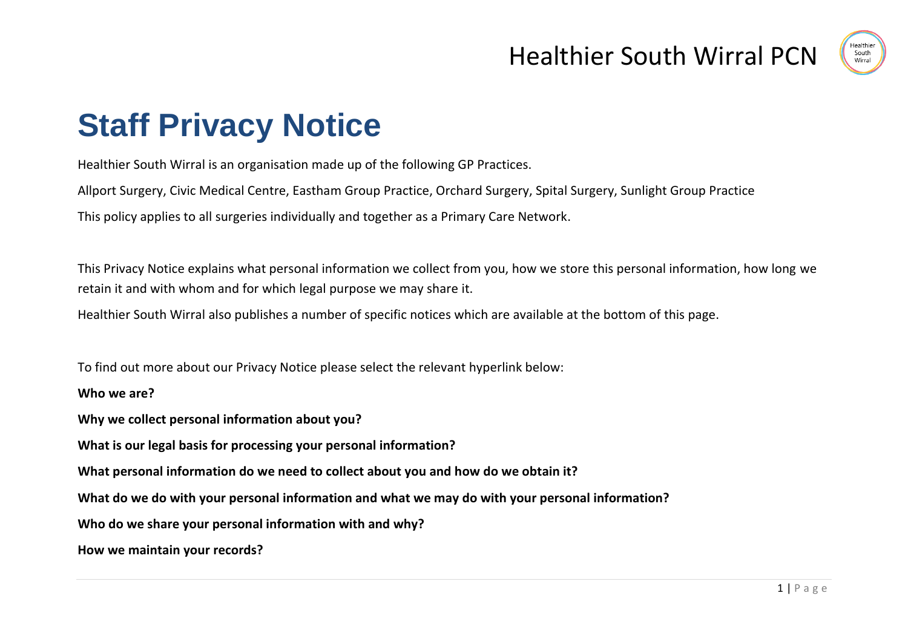

# **Staff Privacy Notice**

Healthier South Wirral is an organisation made up of the following GP Practices.

Allport Surgery, Civic Medical Centre, Eastham Group Practice, Orchard Surgery, Spital Surgery, Sunlight Group Practice

This policy applies to all surgeries individually and together as a Primary Care Network.

This Privacy Notice explains what personal information we collect from you, how we store this personal information, how long we retain it and with whom and for which legal purpose we may share it.

Healthier South Wirral also publishes a number of specific notices which are available at the bottom of this page.

To find out more about our Privacy Notice please select the relevant hyperlink below:

**Who we are?**

**Why we collect personal information about you?**

**What is our legal basis for processing your personal information?**

**What personal information do we need to collect about you and how do we obtain it?**

**What do we do with your personal information and what we may do with your personal information?** 

**Who do we share your personal information with and why?**

**How we maintain your records?**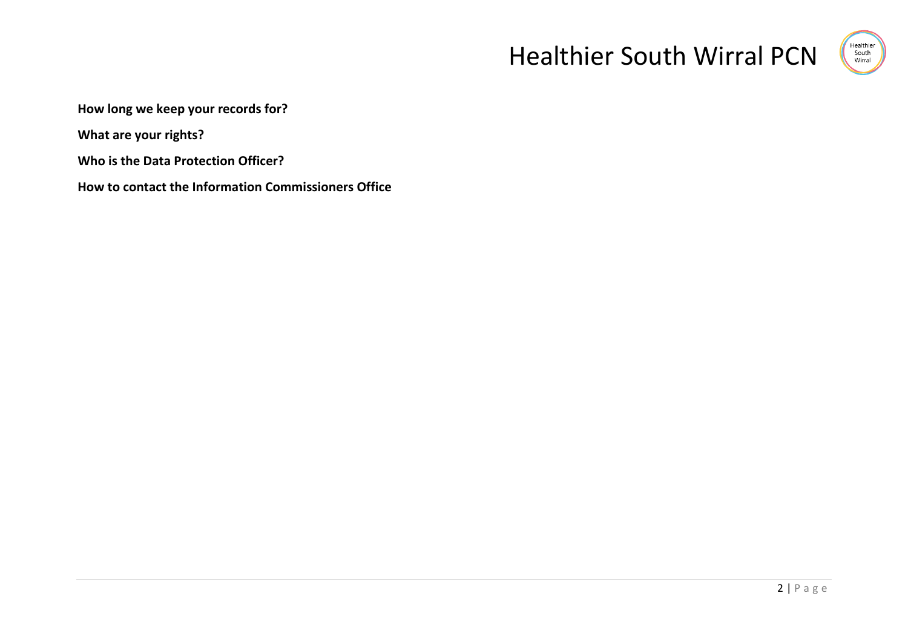

**How long we keep your records for?**

**What are your rights?**

**Who is the Data Protection Officer?** 

**How to contact the Information Commissioners Office**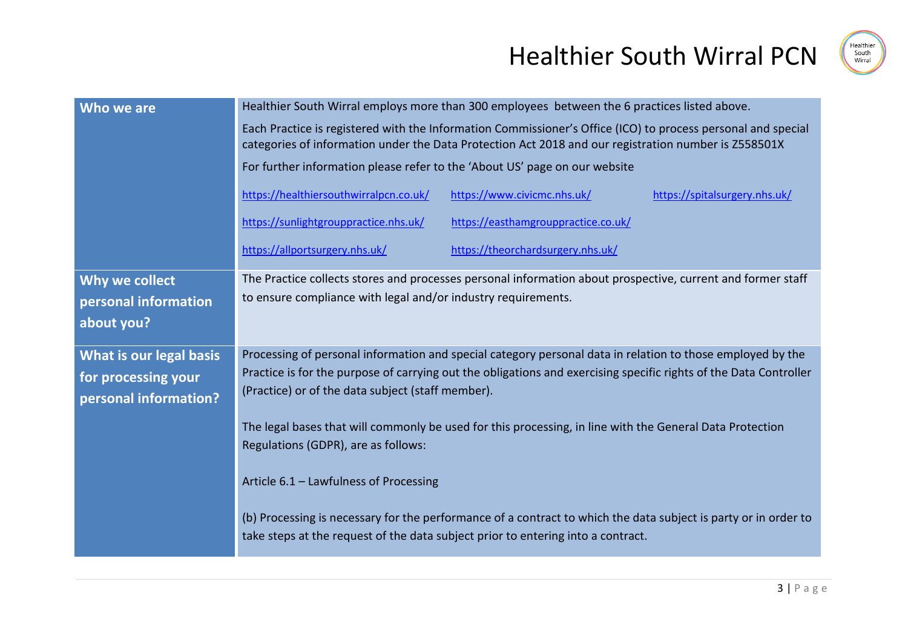



| Who we are              | Healthier South Wirral employs more than 300 employees between the 6 practices listed above.                                                                                                                         |                                     |                               |
|-------------------------|----------------------------------------------------------------------------------------------------------------------------------------------------------------------------------------------------------------------|-------------------------------------|-------------------------------|
|                         | Each Practice is registered with the Information Commissioner's Office (ICO) to process personal and special<br>categories of information under the Data Protection Act 2018 and our registration number is Z558501X |                                     |                               |
|                         | For further information please refer to the 'About US' page on our website                                                                                                                                           |                                     |                               |
|                         | https://healthiersouthwirralpcn.co.uk/                                                                                                                                                                               | https://www.civicmc.nhs.uk/         | https://spitalsurgery.nhs.uk/ |
|                         | https://sunlightgrouppractice.nhs.uk/                                                                                                                                                                                | https://easthamgrouppractice.co.uk/ |                               |
|                         | https://allportsurgery.nhs.uk/                                                                                                                                                                                       | https://theorchardsurgery.nhs.uk/   |                               |
| Why we collect          | The Practice collects stores and processes personal information about prospective, current and former staff                                                                                                          |                                     |                               |
| personal information    | to ensure compliance with legal and/or industry requirements.                                                                                                                                                        |                                     |                               |
| about you?              |                                                                                                                                                                                                                      |                                     |                               |
| What is our legal basis | Processing of personal information and special category personal data in relation to those employed by the                                                                                                           |                                     |                               |
| for processing your     | Practice is for the purpose of carrying out the obligations and exercising specific rights of the Data Controller<br>(Practice) or of the data subject (staff member).                                               |                                     |                               |
| personal information?   |                                                                                                                                                                                                                      |                                     |                               |
|                         | The legal bases that will commonly be used for this processing, in line with the General Data Protection                                                                                                             |                                     |                               |
|                         | Regulations (GDPR), are as follows:                                                                                                                                                                                  |                                     |                               |
|                         | Article 6.1 - Lawfulness of Processing                                                                                                                                                                               |                                     |                               |
|                         | (b) Processing is necessary for the performance of a contract to which the data subject is party or in order to<br>take steps at the request of the data subject prior to entering into a contract.                  |                                     |                               |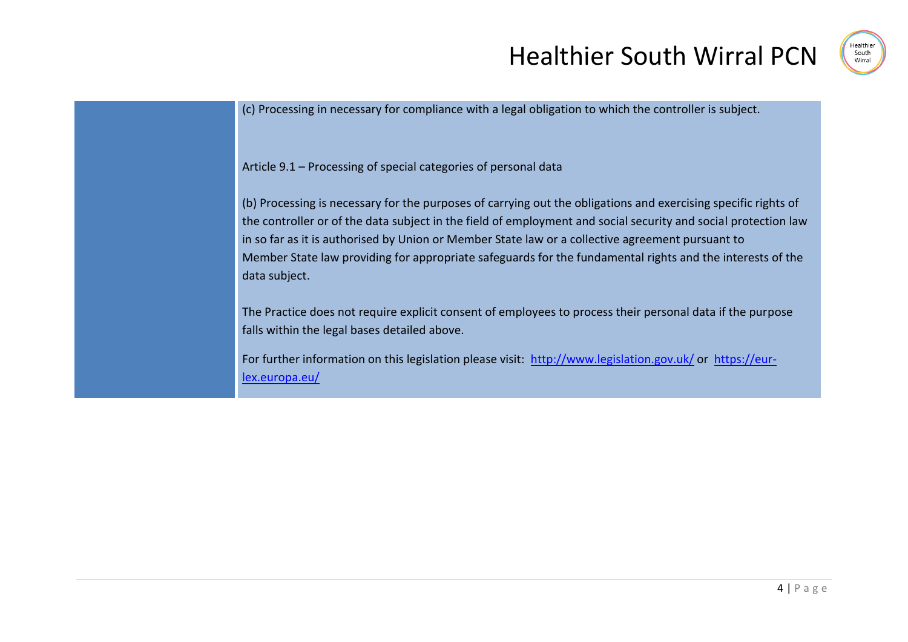

(c) Processing in necessary for compliance with a legal obligation to which the controller is subject.

Article 9.1 – Processing of special categories of personal data

(b) Processing is necessary for the purposes of carrying out the obligations and exercising specific rights of the controller or of the data subject in the field of employment and social security and social protection law in so far as it is authorised by Union or Member State law or a collective agreement pursuant to Member State law providing for appropriate safeguards for the fundamental rights and the interests of the data subject.

The Practice does not require explicit consent of employees to process their personal data if the purpose falls within the legal bases detailed above.

For further information on this legislation please visit: <http://www.legislation.gov.uk/> or [https://eur](https://eur-lex.europa.eu/legal-content/EN/TXT/?uri=CELEX:32016R0679)[lex.europa.eu/](https://eur-lex.europa.eu/legal-content/EN/TXT/?uri=CELEX:32016R0679)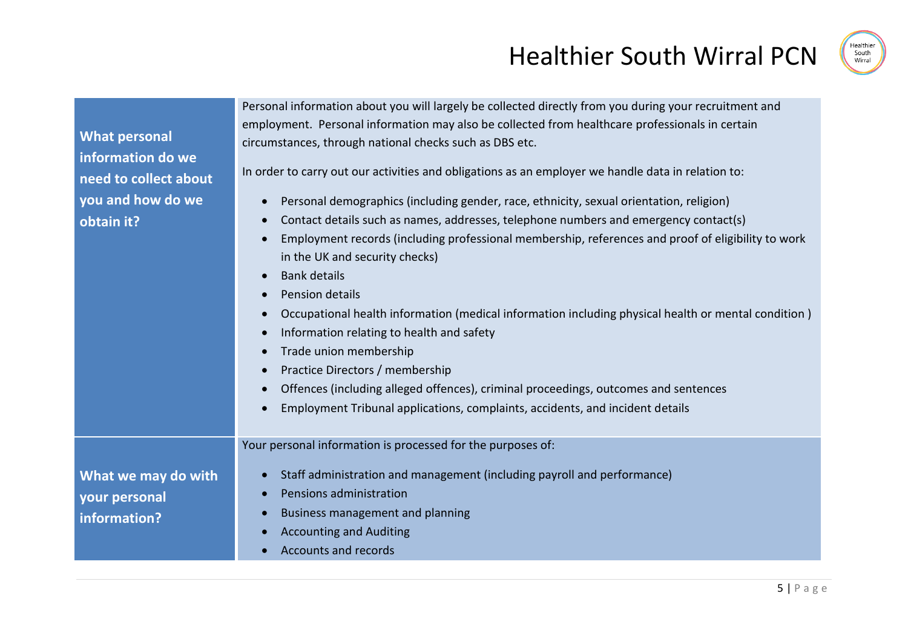

**What personal information do we need to collect about you and how do we obtain it?**

Personal information about you will largely be collected directly from you during your recruitment and employment. Personal information may also be collected from healthcare professionals in certain circumstances, through national checks such as DBS etc.

In order to carry out our activities and obligations as an employer we handle data in relation to:

- Personal demographics (including gender, race, ethnicity, sexual orientation, religion)
- Contact details such as names, addresses, telephone numbers and emergency contact(s)
- Employment records (including professional membership, references and proof of eligibility to work in the UK and security checks)
- Bank details
- Pension details
- Occupational health information (medical information including physical health or mental condition )
- Information relating to health and safety
- Trade union membership
- Practice Directors / membership
- Offences (including alleged offences), criminal proceedings, outcomes and sentences
- Employment Tribunal applications, complaints, accidents, and incident details

Your personal information is processed for the purposes of:

**What we may do with your personal information?**

- Staff administration and management (including payroll and performance)
	- Pensions administration
	- Business management and planning
	- Accounting and Auditing
	- Accounts and records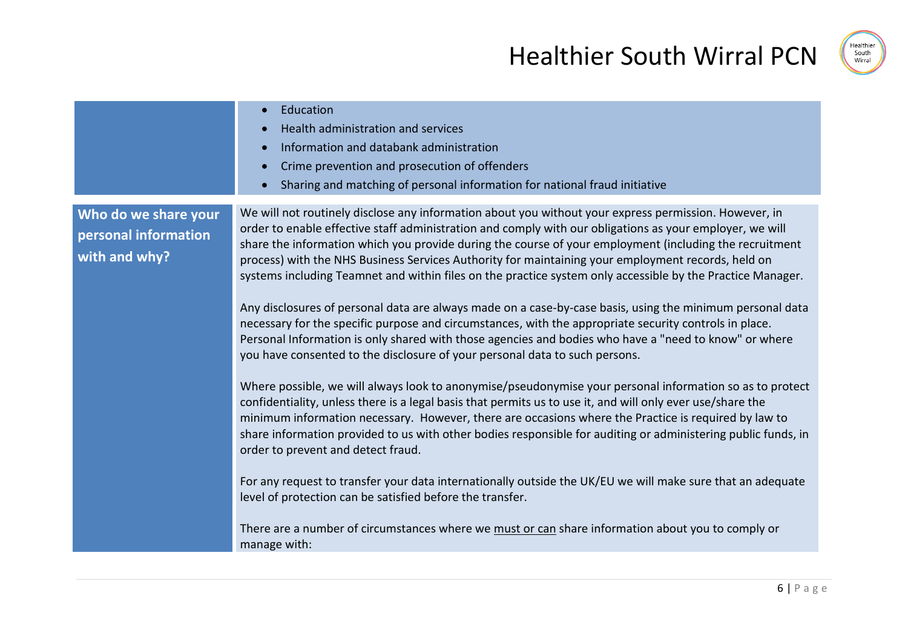| Education<br>$\bullet$<br>Health administration and services<br>Information and databank administration<br>$\bullet$<br>Crime prevention and prosecution of offenders                                                                                                                                                                                                                                                                                                                                                                                                                                                                                                                                                                                                                                                                                                                                                                                                                                                                                                                                                                                                                                                                                                                                                                                             |                                                                                                                                                                                                                                                                                                                                                                                                                                                      |
|-------------------------------------------------------------------------------------------------------------------------------------------------------------------------------------------------------------------------------------------------------------------------------------------------------------------------------------------------------------------------------------------------------------------------------------------------------------------------------------------------------------------------------------------------------------------------------------------------------------------------------------------------------------------------------------------------------------------------------------------------------------------------------------------------------------------------------------------------------------------------------------------------------------------------------------------------------------------------------------------------------------------------------------------------------------------------------------------------------------------------------------------------------------------------------------------------------------------------------------------------------------------------------------------------------------------------------------------------------------------|------------------------------------------------------------------------------------------------------------------------------------------------------------------------------------------------------------------------------------------------------------------------------------------------------------------------------------------------------------------------------------------------------------------------------------------------------|
|                                                                                                                                                                                                                                                                                                                                                                                                                                                                                                                                                                                                                                                                                                                                                                                                                                                                                                                                                                                                                                                                                                                                                                                                                                                                                                                                                                   | Sharing and matching of personal information for national fraud initiative                                                                                                                                                                                                                                                                                                                                                                           |
| We will not routinely disclose any information about you without your express permission. However, in<br>Who do we share your<br>order to enable effective staff administration and comply with our obligations as your employer, we will<br>personal information<br>share the information which you provide during the course of your employment (including the recruitment<br>with and why?<br>process) with the NHS Business Services Authority for maintaining your employment records, held on<br>systems including Teamnet and within files on the practice system only accessible by the Practice Manager.<br>necessary for the specific purpose and circumstances, with the appropriate security controls in place.<br>Personal Information is only shared with those agencies and bodies who have a "need to know" or where<br>you have consented to the disclosure of your personal data to such persons.<br>confidentiality, unless there is a legal basis that permits us to use it, and will only ever use/share the<br>minimum information necessary. However, there are occasions where the Practice is required by law to<br>order to prevent and detect fraud.<br>level of protection can be satisfied before the transfer.<br>There are a number of circumstances where we must or can share information about you to comply or<br>manage with: | Any disclosures of personal data are always made on a case-by-case basis, using the minimum personal data<br>Where possible, we will always look to anonymise/pseudonymise your personal information so as to protect<br>share information provided to us with other bodies responsible for auditing or administering public funds, in<br>For any request to transfer your data internationally outside the UK/EU we will make sure that an adequate |

Healthier<br>South<br>Wirral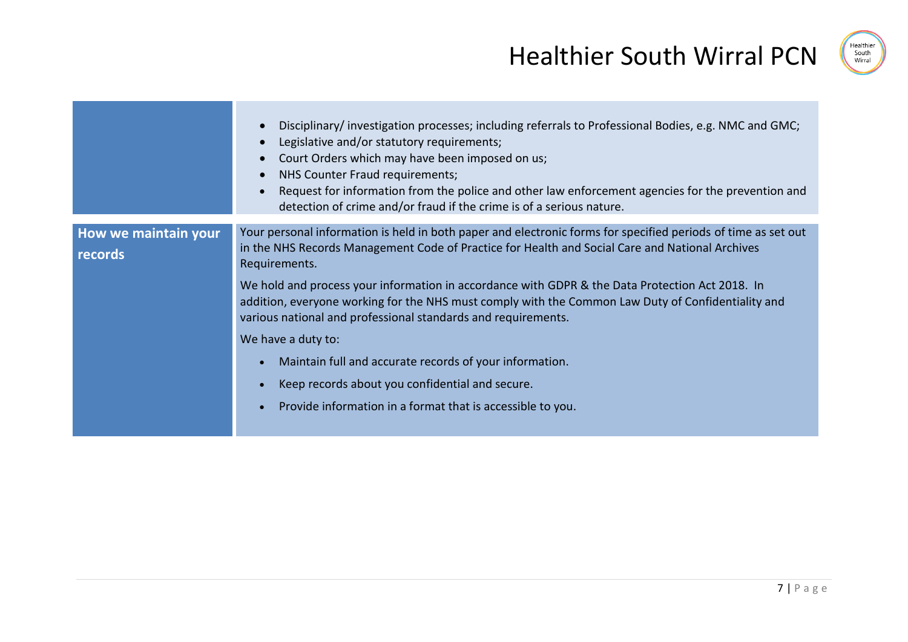

|                                 | Disciplinary/investigation processes; including referrals to Professional Bodies, e.g. NMC and GMC;<br>Legislative and/or statutory requirements;<br>Court Orders which may have been imposed on us;<br>NHS Counter Fraud requirements;<br>Request for information from the police and other law enforcement agencies for the prevention and<br>detection of crime and/or fraud if the crime is of a serious nature.                                                                                                                                                                                                                                                                                          |
|---------------------------------|---------------------------------------------------------------------------------------------------------------------------------------------------------------------------------------------------------------------------------------------------------------------------------------------------------------------------------------------------------------------------------------------------------------------------------------------------------------------------------------------------------------------------------------------------------------------------------------------------------------------------------------------------------------------------------------------------------------|
| How we maintain your<br>records | Your personal information is held in both paper and electronic forms for specified periods of time as set out<br>in the NHS Records Management Code of Practice for Health and Social Care and National Archives<br>Requirements.<br>We hold and process your information in accordance with GDPR & the Data Protection Act 2018. In<br>addition, everyone working for the NHS must comply with the Common Law Duty of Confidentiality and<br>various national and professional standards and requirements.<br>We have a duty to:<br>Maintain full and accurate records of your information.<br>Keep records about you confidential and secure.<br>Provide information in a format that is accessible to you. |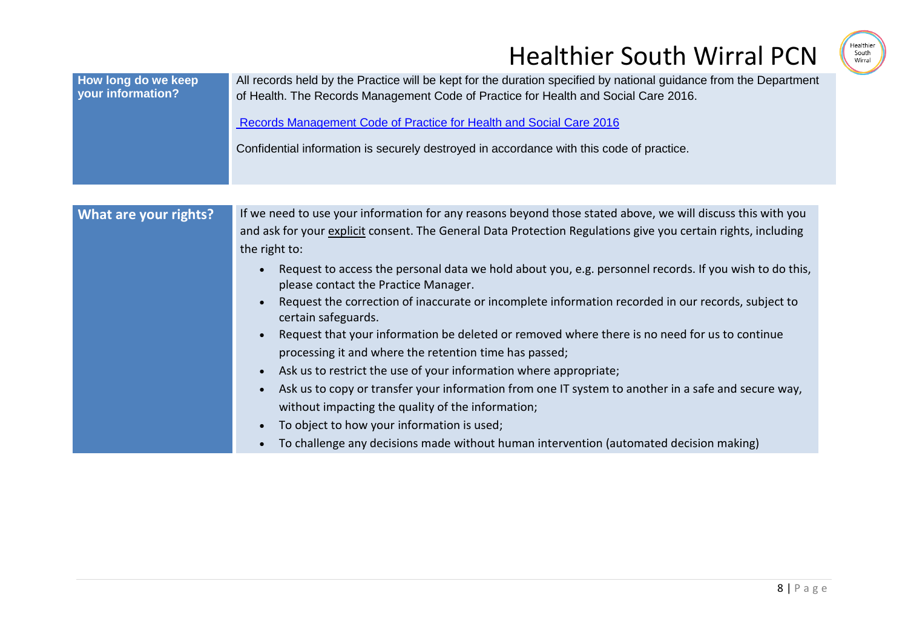

| How long do we keep<br>your information? | All records held by the Practice will be kept for the duration specified by national guidance from the Department<br>of Health. The Records Management Code of Practice for Health and Social Care 2016.<br>Records Management Code of Practice for Health and Social Care 2016<br>Confidential information is securely destroyed in accordance with this code of practice.                                                                                                                                                                                                                                                                                                             |
|------------------------------------------|-----------------------------------------------------------------------------------------------------------------------------------------------------------------------------------------------------------------------------------------------------------------------------------------------------------------------------------------------------------------------------------------------------------------------------------------------------------------------------------------------------------------------------------------------------------------------------------------------------------------------------------------------------------------------------------------|
| What are your rights?                    | If we need to use your information for any reasons beyond those stated above, we will discuss this with you<br>and ask for your explicit consent. The General Data Protection Regulations give you certain rights, including<br>the right to:<br>Request to access the personal data we hold about you, e.g. personnel records. If you wish to do this,<br>please contact the Practice Manager.<br>Request the correction of inaccurate or incomplete information recorded in our records, subject to<br>certain safeguards.<br>Request that your information be deleted or removed where there is no need for us to continue<br>processing it and where the retention time has passed; |
|                                          | Ask us to restrict the use of your information where appropriate;<br>$\bullet$<br>Ask us to copy or transfer your information from one IT system to another in a safe and secure way,<br>without impacting the quality of the information;<br>To object to how your information is used;<br>To challenge any decisions made without human intervention (automated decision making)                                                                                                                                                                                                                                                                                                      |